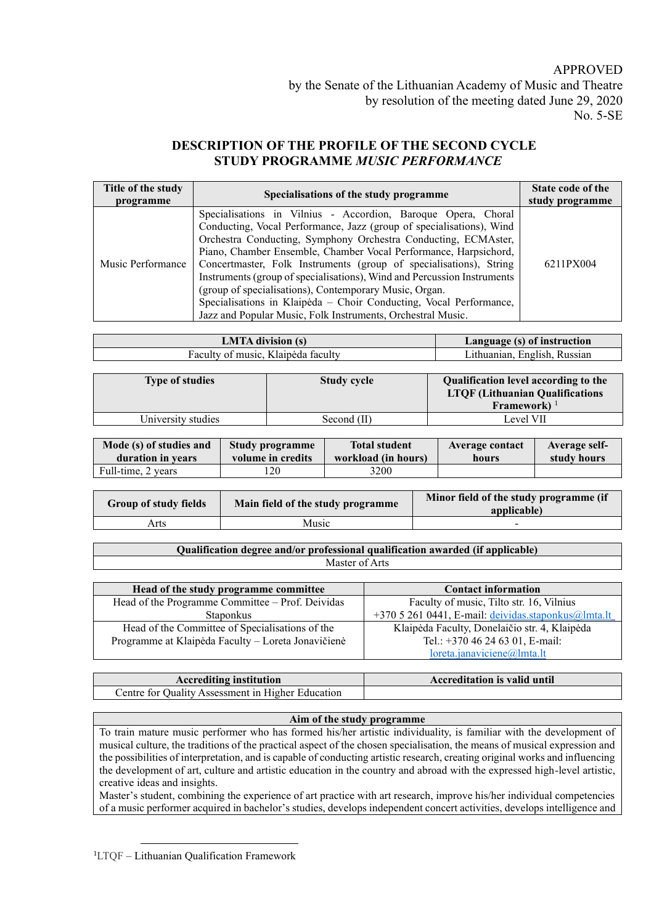## APPROVED

# **DESCRIPTION OF THE PROFILE OF THE SECOND CYCLE STUDY PROGRAMME** *MUSIC PERFORMANCE*

| Title of the study<br>programme | Specialisations of the study programme                                                                                                                                                                                                                                                                                                                                                                                                                                                                                                                                                                                      | State code of the<br>study programme |
|---------------------------------|-----------------------------------------------------------------------------------------------------------------------------------------------------------------------------------------------------------------------------------------------------------------------------------------------------------------------------------------------------------------------------------------------------------------------------------------------------------------------------------------------------------------------------------------------------------------------------------------------------------------------------|--------------------------------------|
| Music Performance               | Specialisations in Vilnius - Accordion, Baroque Opera, Choral<br>Conducting, Vocal Performance, Jazz (group of specialisations), Wind<br>Orchestra Conducting, Symphony Orchestra Conducting, ECMAster,<br>Piano, Chamber Ensemble, Chamber Vocal Performance, Harpsichord,<br>Concertmaster, Folk Instruments (group of specialisations), String<br>Instruments (group of specialisations), Wind and Percussion Instruments<br>(group of specialisations), Contemporary Music, Organ.<br>Specialisations in Klaipėda – Choir Conducting, Vocal Performance,<br>Jazz and Popular Music, Folk Instruments, Orchestral Music. | 6211PX004                            |

| IA division                             | Language (s) of instruction         |
|-----------------------------------------|-------------------------------------|
| . Klaipėda faculty<br>Faculty of music. | Russian<br>. English.<br>athuanian. |

| <b>Type of studies</b> | <b>Study cycle</b> | Qualification level according to the<br><b>LTOF</b> (Lithuanian Qualifications<br>Framework) $1$ |
|------------------------|--------------------|--------------------------------------------------------------------------------------------------|
| University studies     | Second (II)        | Level VII                                                                                        |

| Mode (s) of studies and | Study programme   | <b>Total student</b> | Average contact | Average self- |
|-------------------------|-------------------|----------------------|-----------------|---------------|
| duration in years       | volume in credits | workload (in hours)  | hours           | study hours   |
| Full-time, 2 years      | .20               | 3200                 |                 |               |

| <b>Group of study fields</b> | Main field of the study programme | Minor field of the study programme (if<br>applicable) |
|------------------------------|-----------------------------------|-------------------------------------------------------|
| Arts                         | Music                             |                                                       |

**Qualification degree and/or professional qualification awarded (if applicable)** Master of Arts

| Head of the study programme committee              | <b>Contact information</b>                          |
|----------------------------------------------------|-----------------------------------------------------|
| Head of the Programme Committee - Prof. Deividas   | Faculty of music, Tilto str. 16, Vilnius            |
| <b>Staponkus</b>                                   | +370 5 261 0441, E-mail: deividas.staponkus@lmta.lt |
| Head of the Committee of Specialisations of the    | Klaipėda Faculty, Donelaičio str. 4, Klaipėda       |
| Programme at Klaipėda Faculty – Loreta Jonavičienė | Tel.: +370 46 24 63 01, E-mail:                     |
|                                                    | loreta.janaviciene@lmta.lt                          |

| <b>Accrediting institution</b>                               | <b>Accreditation is valid until</b> |
|--------------------------------------------------------------|-------------------------------------|
| Centre for Quality Assessment in $\cdot$<br>Higher Education |                                     |

### **Aim of the study programme**

To train mature music performer who has formed his/her artistic individuality, is familiar with the development of musical culture, the traditions of the practical aspect of the chosen specialisation, the means of musical expression and the possibilities of interpretation, and is capable of conducting artistic research, creating original works and influencing the development of art, culture and artistic education in the country and abroad with the expressed high-level artistic, creative ideas and insights.

Master's student, combining the experience of art practice with art research, improve his/her individual competencies of a music performer acquired in bachelor's studies, develops independent concert activities, develops intelligence and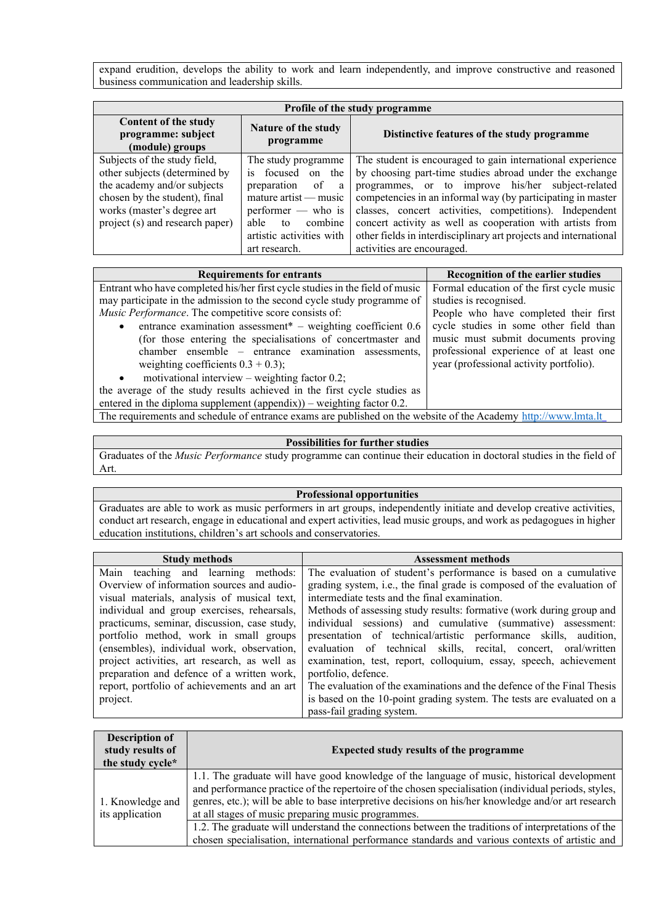expand erudition, develops the ability to work and learn independently, and improve constructive and reasoned business communication and leadership skills.

| <b>Profile of the study programme</b>                                                                                                                                                          |                                                                                                                                                                                                           |                                                                                                                                                                                                                                                                                                                                                                                                                                                                     |
|------------------------------------------------------------------------------------------------------------------------------------------------------------------------------------------------|-----------------------------------------------------------------------------------------------------------------------------------------------------------------------------------------------------------|---------------------------------------------------------------------------------------------------------------------------------------------------------------------------------------------------------------------------------------------------------------------------------------------------------------------------------------------------------------------------------------------------------------------------------------------------------------------|
| Content of the study<br>programme: subject<br>(module) groups                                                                                                                                  | Nature of the study<br>programme                                                                                                                                                                          | Distinctive features of the study programme                                                                                                                                                                                                                                                                                                                                                                                                                         |
| Subjects of the study field,<br>other subjects (determined by<br>the academy and/or subjects<br>chosen by the student), final<br>works (master's degree art<br>project (s) and research paper) | The study programme<br>focused on the<br>$\overline{1}S$<br>preparation<br>of<br>a<br>$mature$ artist — music<br>$performer$ who is<br>combine<br>able<br>to<br>artistic activities with<br>art research. | The student is encouraged to gain international experience<br>by choosing part-time studies abroad under the exchange<br>programmes, or to improve his/her subject-related<br>competencies in an informal way (by participating in master<br>classes, concert activities, competitions). Independent<br>concert activity as well as cooperation with artists from<br>other fields in interdisciplinary art projects and international<br>activities are encouraged. |

| <b>Requirements for entrants</b>                                                                               | Recognition of the earlier studies        |
|----------------------------------------------------------------------------------------------------------------|-------------------------------------------|
| Entrant who have completed his/her first cycle studies in the field of music                                   | Formal education of the first cycle music |
| may participate in the admission to the second cycle study programme of                                        | studies is recognised.                    |
| Music Performance. The competitive score consists of:                                                          | People who have completed their first     |
| entrance examination assessment <sup>*</sup> – weighting coefficient $0.6$                                     | cycle studies in some other field than    |
| (for those entering the specialisations of concertmaster and                                                   | music must submit documents proving       |
| chamber ensemble – entrance examination assessments,                                                           | professional experience of at least one   |
| weighting coefficients $0.3 + 0.3$ ;                                                                           | year (professional activity portfolio).   |
| motivational interview – weighting factor $0.2$ ;<br>$\bullet$                                                 |                                           |
| the average of the study results achieved in the first cycle studies as                                        |                                           |
| entered in the diploma supplement (appendix)) – weighting factor $0.2$ .                                       |                                           |
| The requirements and schedule of entrance exams are published on the website of the Academy http://www.lmta.lt |                                           |

#### **Possibilities for further studies**

Graduates of the *Music Performance* study programme can continue their education in doctoral studies in the field of Art.

### **Professional opportunities**

Graduates are able to work as music performers in art groups, independently initiate and develop creative activities, conduct art research, engage in educational and expert activities, lead music groups, and work as pedagogues in higher education institutions, children's art schools and conservatories.

| <b>Study methods</b>                         | <b>Assessment methods</b>                                              |
|----------------------------------------------|------------------------------------------------------------------------|
| Main teaching and learning methods:          | The evaluation of student's performance is based on a cumulative       |
| Overview of information sources and audio-   | grading system, i.e., the final grade is composed of the evaluation of |
| visual materials, analysis of musical text,  | intermediate tests and the final examination.                          |
| individual and group exercises, rehearsals,  | Methods of assessing study results: formative (work during group and   |
| practicums, seminar, discussion, case study, | individual sessions) and cumulative (summative) assessment:            |
| portfolio method, work in small groups       | presentation of technical/artistic performance skills, audition,       |
| (ensembles), individual work, observation,   | evaluation of technical skills, recital, concert, oral/written         |
| project activities, art research, as well as | examination, test, report, colloquium, essay, speech, achievement      |
| preparation and defence of a written work,   | portfolio, defence.                                                    |
| report, portfolio of achievements and an art | The evaluation of the examinations and the defence of the Final Thesis |
| project.                                     | is based on the 10-point grading system. The tests are evaluated on a  |
|                                              | pass-fail grading system.                                              |

| <b>Description of</b><br>study results of<br>the study cycle* | <b>Expected study results of the programme</b>                                                                                                                                                                                                                                                                                                                   |
|---------------------------------------------------------------|------------------------------------------------------------------------------------------------------------------------------------------------------------------------------------------------------------------------------------------------------------------------------------------------------------------------------------------------------------------|
| 1. Knowledge and<br>its application                           | 1.1. The graduate will have good knowledge of the language of music, historical development<br>and performance practice of the repertoire of the chosen specialisation (individual periods, styles,<br>genres, etc.); will be able to base interpretive decisions on his/her knowledge and/or art research<br>at all stages of music preparing music programmes. |
|                                                               | 1.2. The graduate will understand the connections between the traditions of interpretations of the<br>chosen specialisation, international performance standards and various contexts of artistic and                                                                                                                                                            |